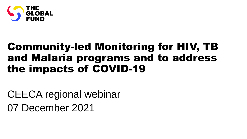

# Community-led Monitoring for HIV, TB and Malaria programs and to address the impacts of COVID-19

CEECA regional webinar 07 December 2021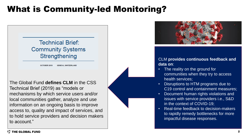# What is Community-led Monitoring?

## **Technical Brief: Community Systems** Strengthening

**OCTOBER 2019 GENEVA, SWITZERLAND** 

The Global Fund **defines CLM** in the CSS Technical Brief (2019) as "models or mechanisms by which service users and/or local communities gather, analyze and use information on an ongoing basis to improve access to, quality and impact of services, and to hold service providers and decision makers to account."



#### CLM **provides continuous feedback and data on**:

- The reality on the ground for communities when they try to access health services;
- Disruptions to HTM programs due to C19 control and containment measures;
- Document human rights violations and issues with service providers i.e., S&D in the context of COVID-19;
- Real-time feedback to decision-makers to rapidly remedy bottlenecks for more impactful disease responses.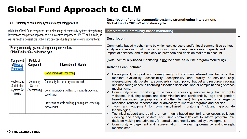# Global Fund Approach to CLM

#### Summary of community systems strengthening priorities

Whilst the Global Fund recognizes that a wide range of community systems strengthening interventions can play an important role in a country's response to HIV. TB and malaria, as well as health in general, the Global Fund prioritizes funding for the following interventions:

|  | <b>Priority community systems strengthening interventions</b><br>Global Fund's 2020-22 allocation cycle |                                              |                                                                         |
|--|---------------------------------------------------------------------------------------------------------|----------------------------------------------|-------------------------------------------------------------------------|
|  | Component<br>of Modular<br><b>Framework</b>                                                             | Module of<br>Component                       | Interventions in Module                                                 |
|  |                                                                                                         |                                              | <b>Community-based monitoring</b>                                       |
|  | Resilient and<br>Sustainable<br>Systems for<br><b>Health</b>                                            | Community<br><b>Systems</b><br>Strengthening | Community-led advocacy and research                                     |
|  |                                                                                                         |                                              | Social mobilization, building community linkages and<br>coordination    |
|  |                                                                                                         |                                              | Institutional capacity building, planning and leadership<br>development |

Description of priority community systems strengthening interventions Global Fund's 2020-22 allocation cycle

#### **Intervention: Community-based monitoring**

#### **Description**

Community-based mechanisms by which service users and/or local communities gather, analyze and use information on an ongoing basis to improve access to, quality and impact of services, and to hold service providers and decision makers to account.

(Note: community-based monitoring is not the same as routine program monitoring).

#### Activities can include:

- $\checkmark$  Development, support and strengthening of community-based mechanisms that monitor: availability, accessibility, acceptability and quality of services (e.g. observatories, alert systems, scorecards); health policy, budget and resource tracking, and monitoring of health financing allocation decisions; and/or complaint and grievance mechanisms.
- $\checkmark$  Community-based monitoring of barriers to accessing services (e.g. human rights violations, including stigma and discrimination and confidentiality; age and genderbased inequities; geographical and other barriers) for purposes of emergency response, redress, research and/or advocacy to improve programs and policies.
- $\checkmark$  Tools and equipment for community-based monitoring (including appropriate technologies).
- $\checkmark$  Technical support and training on community-based monitoring: collection, collation, cleaning and analysis of data; and using community data to inform programmatic decision making and advocacy for social accountability and policy development.
- $\checkmark$  Community engagement and representation in relevant governance and oversight mechanisms.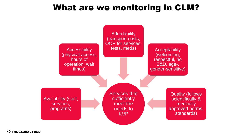# What are we monitoring in CLM?



**STHE GLOBAL FUND**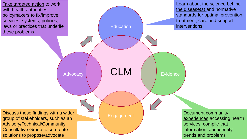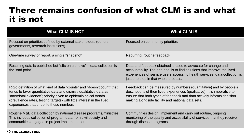# There remains confusion of what CLM is and what it is not

| <b>What CLM IS NOT</b>                                                                                                                                                                                                                                                                                                            | <b>What CLM IS</b>                                                                                                                                                                                                                                                             |
|-----------------------------------------------------------------------------------------------------------------------------------------------------------------------------------------------------------------------------------------------------------------------------------------------------------------------------------|--------------------------------------------------------------------------------------------------------------------------------------------------------------------------------------------------------------------------------------------------------------------------------|
| Focused on priorities defined by external stakeholders (donors,<br>governments, research institutions)                                                                                                                                                                                                                            | Focused on community priorities                                                                                                                                                                                                                                                |
| One-time survey or report, a single "snapshot"                                                                                                                                                                                                                                                                                    | Recurring, routine feedback                                                                                                                                                                                                                                                    |
| Resulting data is published but "sits on a shelve" – data collection is<br>the 'end point'                                                                                                                                                                                                                                        | Data and feedback obtained is used to advocate for change and<br>accountability. The end goal is to find solutions that improve the lived<br>experiences of service users accessing health services. data collection is<br>just one step in that whole process.                |
| Rigid definition of what kind of data "counts" and "doesn't count" that<br>tends to favor quantitative data and dismiss qualitative data as<br>'anecdotal evidence'; priority given to epidemiological trends<br>(prevalence rates, testing targets) with little interest in the lived<br>experiences that underlie those numbers | Feedback can be measured by numbers (quantitative) and by people's<br>descriptions of their lived experiences (qualitative). It is imperative to<br>ensure that both types of feedback and data actively informs decision<br>making alongside facility and national data sets. |
| Routine M&E data collection by national disease programs/ministries.<br>This includes collection of program data from civil society and<br>communities engaged in project implementation.                                                                                                                                         | Communities design, implement and carry out routine, ongoing<br>monitoring of the quality and accessibility of services that they receive<br>through disease programs.                                                                                                         |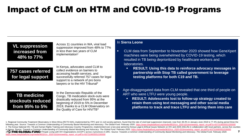# Impact of CLM on HTM and COVID-19 Programs

## **VL suppression increased from 48% to 77%**

Across 11 countries in WA, viral load suppression improved from 48% to 77% in less than two years of CLM implementation<sup>1</sup>

## **757 cases referred for legal support**

In Kenya, advocates used CLM to collect evidence on barriers to accessing health services, and successfully referred 757 cases for legal support to a network of pro bono lawyers or to the HIV Tribunal<sup>2</sup>

## **TB medicine stockouts reduced from 95% to 5%**

In the Democratic Republic of the Congo, TB medication stock-outs were drastically reduced from 95% at the beginning of 2019 to 5% in December 2019, thanks to a CLM Observatory on the Quality of Care for HIV/TB<sup>3</sup>

#### In **Sierra Leone**

- CLM data from September to November 2020 showed how GeneXpert machines were being overwhelmed by COVID-19 testing, which resulted in TB being deprioritized by healthcare workers and laboratories.
	- **RESULT: Using this data to reinforce advocacy messages in partnership with Stop TB called government to leverage testing platforms for both C19 and TB.**
- Age-disaggregated data from CLM revealed that one third of people on ART who were LTFU were young people.
	- **RESULT: Adolescents lost to follow-up strategy created to retain them using text messaging and other social media platforms to track and trace LTFU and bring them into care**

7 1. Regional Community Treatment Observatory in West Africa (RCTO-WA), implemented by ITPC and 11 civil society partners, found that the rate of viral load suppression improved, rose from 48.4% in January-June 2018 to 77.4% following year. Source: Towards a Common Understanding of Community Based Monitoring and Advocacy. The Global Fund. February 2020. https://www.theglobalfund.org/media/9632/crs\_2020-02cbmmeeting\_report\_en.pdf?u=637319005551 2. The Kenya National HIV, TB and Human Rights Training and Advocacy Country Programme, implemented over a two-year period by Kenya Legal & Ethical Issues Network on HIV and AIDS (KELIN) in collaboration with local partner in Kenya. Source: Towards a Common Understanding of Community Based Monitoring and Advocacy. The Global Fund. February 2020. [https://www.theglobalfund.org/media/9632/crs\\_2020-02cbmmeeting\\_report\\_en.pdf?u=637319005551530000](https://www.theglobalfund.org/media/9632/crs_2020-02cbmmeeting_report_en.pdf?u=637319005551530000) 3. Thiple to the columnary Bases UND of People Living with HIV Organizations (UCOP+) across 3 provinces in DRC. Source: Towards a Common Understanding of Community Based Monitoring and Advocacy. The Global Fund. February 2 *[https://www.theglobalfund.org/media/9632/crs\\_2020-02cbmmeeting\\_report\\_en.pdf?u=637319005551530000](https://www.theglobalfund.org/media/9632/crs_2020-02cbmmeeting_report_en.pdf?u=637319005551530000)*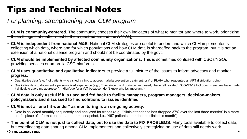# Tips and Technical Notes

# *For planning, strengthening your CLM program*

- **CLM is community-centered**. The community chooses their own indicators of what to monitor and where to work, prioritizing those things that matter most to them (centred around the AAAAQ)
- **CLM is independent from national M&E.** National CLM strategies are useful to understand which CLM implementer is collecting which data, where and for which populations and how CLM data is shared/fed back to the program, but it is not an extension of a national disease program and should not be coordinated by the govt.
- **CLM should be implemented by affected community organizations.** This is sometimes confused with CSOs/NGOs providing services or umbrella CSO platforms.
- **CLM uses quantitative and qualitative indicators** to provide a full picture of the issues to inform advocacy and monitor progress.
	- Quantitative data (e.g. # of patients who visited a clinic to access malaria prevention treatment, or # of PLHIV who frequented an ART distribution point)
	- Qualitative data to document a person's lived experience (e.g., "Ever since the drop-in center closed, I have felt isolated"; "COVID-19 lockdown measures have made it difficult to avoid my aggressor"; "I didn't go for a VLT because I don't know why it's important").
- **CLM data is only useful if it is used and fed back to facility managers, program managers, decision-makers, policymakers and discussed to find solutions to issues identified**
- **CLM is not a "one hit wonder" as monitoring is an on-going activity**.
	- Data is collected monthly or quarterly and analyzed for trends (e.g., "clinic attendance has dropped 37% over the last three months" is a more useful piece of information than a one-time snapshot, i.e., "467 patients attended the clinic this month")
- **The point of CLM is not just to collect data, but to use the data to FIX PROBLEMS**. Many tools available to collect data, but coordinating data sharing among CLM implementers and collectively strategizing on use of data still needs work. **STHE GLOBAL FUND**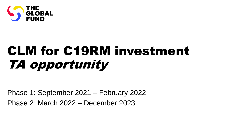

# CLM for C19RM investment TA opportunity

Phase 1: September 2021 – February 2022 Phase 2: March 2022 – December 2023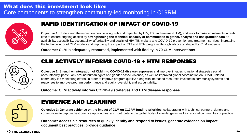

## RAPID IDENTIFICATION OF IMPACT OF COVID-19

**Objective 1:** Understand the impact on people living with and impacted by HIV, TB, and malaria (HTM), and work to make adjustments in realtime to ensure ongoing access by **strengthening the technical capacity of communities to gather, analyze and use granular data** on availability, accessibility, acceptability, affordability and quality of HIV, TB, malaria and COVID-19 prevention and treatment services**,** increasing the technical rigor of CLM models and improving the impact of C19 and HTM programs through advocacy shaped by CLM evidence.

**Outcome: CLM is adequately resourced, implemented with fidelity in 70 CLM interventions**



## CLM ACTIVELY INFORMS COVID-19 + HTM RESPONSES

**Objective 2:** Strengthen **integration of CLM into COVID-19 disease responses** and improve linkages to national strategies social accountability, particularly around human rights and gender-based violence, as well as improved global coordination on COVID-related community-led monitoring efforts, in order to improve program quality; along with increased resources invested in community systems and responses to improve program performance and equity, oversight, and accountability.

#### **Outcome: CLM actively informs COVID-19 strategies and HTM disease responses**



## EVIDENCE AND LEARNING

**Objective 3: Generate evidence on the impact of CLM on C19RM funding priorities**, collaborating with technical partners, donors and communities to capture best practice approaches, and contribute to the global body of knowledge as well as regional communities of practice.

**Outcome: Accessible resources to quickly identify and respond to issues, generate evidence on impact, document best practices, provide guidance**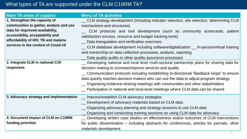## What types of TA are supported under the CLM C19RM TA?

| <b>Main TA areas of support</b>         | <b>Menu of TA activities</b>                                                                 |
|-----------------------------------------|----------------------------------------------------------------------------------------------|
| 1. Strengthen the capacity of           | __ CLM strategy development (including indicator selection, site selection, determining CLM  |
| communities to gather, analyze and use  | mechanisms and structures)                                                                   |
| data for improved availability,         | CLM protocols and tool development (such as community scorecards, patient                    |
| accessibility, acceptability and        | satisfaction surveys, resource and budget tracking tools)                                    |
| affordability of HIV, TB and malaria    | Data triangulation and verification exercises                                                |
| services in the context of Covid-19     | _ CLM database development including software/digitalization _ In-person/virtual training    |
|                                         | and mentorship on data collection processes, analysis, reporting                             |
|                                         | Data quality audits or other quality assurance processes                                     |
| 2. Integrate CLM in national C19        | __ Developing national and local level multi-sectoral partnership plans for sharing data for |
| responses                               | decision making to increase/improve services and quality                                     |
|                                         | __ Communication protocols including establishing bi-directional "feedback loops" to ensure  |
|                                         | data quickly reaches decision-makers who can use the data to adjust program strategy         |
|                                         | __ Organizing evidence-sharing meetings with communities and other stakeholders              |
|                                         | __ Participation in national and local level meetings where CLM data can be shared           |
| 3. Advocacy strategy and implementation | __ Improve/establish CLM advocacy strategies                                                 |
|                                         | Development of advocacy materials based on CLM data                                          |
|                                         | __ Organizing advocacy planning and strategy sessions to use CLM data                        |
|                                         | Organizing and conducting training sessions on using CLM data for advocacy                   |
| 4. Document impact of CLM on C19RM      | Developing written case studies on effectiveness and/or outcomes of CLM interventions        |
| funding priorities                      | for public dissemination – including abstracts for conferences, articles for journals, other |
|                                         | materials development.                                                                       |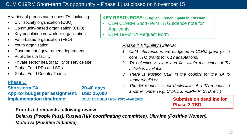A variety of groups can request TA, including:

- Civil society organization (CSO)
- Community-based organization (CBO)
- Key population network or organization
- Faith-based organization (FBO)
- Youth organization
- Government / government department
- Public health facility
- Private sector health facility or service site
- Global Fund PRs and SRs
- Global Fund Country Teams

## **Phase 1:**

**Short-term TA: 20-40 days Approx budget per assignment: USD 25,000 Implementation timeframe:** *JUST CLOSED / Nov 2021–Feb 2022* Submission deadline for

## **Prioritized requests following review –**

*Belarus (People Plus), Russia (HIV coordinating committee), Ukraine (Positive Women), Moldova (Positive Initiative)*

**KEY RESOURCES: (English, French, Spanish, Russian)**

- CLM C19RM Short-Term TA Guidance note for **Applicants**
- CLM 19RM TA Request Form

### *Phase 1 Eligibility Criteria:*

- *1. CLM interventions are budgeted in C1RM grant (or in core HTM grants for C19 adaptations)*
- *2. TA objective is clear and fits within the scope of TA activities available*
- *3. There is existing CLM in the country for the TA to support/build on*
- *4. The TA request is not duplicative of a TA request to another funder (e.g. UNAIDS, PEPFAR, STB, etc.)*

# **Phase 2 TBD**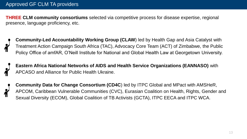**THREE CLM community consortiums** selected via competitive process for disease expertise, regional presence, language proficiency, etc.



**Eastern Africa National Networks of AIDS and Health Service Organizations (EANNASO)** with APCASO and Alliance for Public Health Ukraine.

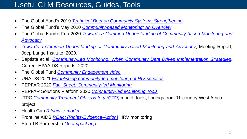# Useful CLM Resources, Guides, Tools

- The Global Fund's 2019 *Technical Brief on Community Systems [Strengthening](https://www.theglobalfund.org/media/4790/core_communitysystems_technicalbrief_en.pdf)*
- The Global Fund's May 2020 *[Community-based](https://www.theglobalfund.org/en/updates/other-updates/2020-05-18-resources-for-community-based-monitoring/) Monitoring: An Overview*
- The Global Fund's Feb 2020 *Towards a Common Understanding of [Community-based](https://www.theglobalfund.org/en/updates/other-updates/2020-05-18-resources-for-community-based-monitoring/) Monitoring and Advocacy*
- *Towards a Common Understanding of [Community-based](https://www.theglobalfund.org/media/9632/crs_2020-02cbmmeeting_report_en.pdf?u=637319005551530000) Monitoring and Advocacy*, Meeting Report, Joep Lange Institute, 2020.
- Baptiste et al, *[Community-Led](https://link.springer.com/content/pdf/10.1007/s11904-020-00521-2.pdf) Monitoring: When Community Data Drives Implementation Strategies*. Current HIV/AIDS Reports, 2020.
- The Global Fund *Community [Engagement](https://youtu.be/qJdK3qOVJuY) video*
- UNAIDS 2021 *[Establishing community-led monitoring of HIV services](https://www.unaids.org/en/resources/documents/2021/establishing-community-led-monitoring-hiv-services)*
- PEPFAR 2020 *[Fact Sheet: Community-led Monitoring](https://www.state.gov/wp-content/uploads/2020/07/PEPFAR_Community-Led-Monitoring_Fact-Sheet_2020.pdf)*
- PEPFAR Solutions Platform 2020 *[Community-led Monitoring Tools](https://www.pepfarsolutions.org/resourcesandtools-2/2020/3/12/community-led-monitoring-implementation-tools)*
- ITPC *[Community Treatment Observatory \(CTO\)](https://itpcglobal.org/blog/monitoring/clma/)* model, tools, findings from 11-country West Africa project
- Health Gap *[Ritshidze](https://ritshidze.org.za/) model*
- Frontline AIDS *REAct [\(Rights-Evidence-Action\)](https://frontlineaids.org/our-work-includes/react/)* HRV monitoring
- Stop TB Partnership *[OneImpact](https://stoptbpartnershiponeimpact.org/) app*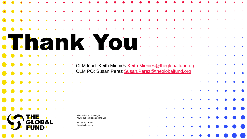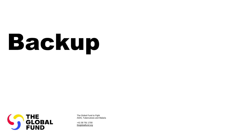# Backup



The Global Fund to Fight AIDS, Tuberculosis and Malaria

+41 58 791 1700 [theglobalfund.org](https://www.theglobalfund.org/)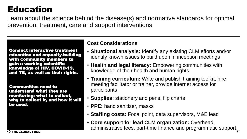# Education

Learn about the science behind the disease(s) and normative standards for optimal prevention, treatment, care and support interventions

Conduct interactive treatment education and capacity-building with community members to gain a working scientific knowledge of HIV, COVID-19, and TB, as well as their rights.

Communities need to understand what they are monitoring: what to collect, why to collect it, and how it will be used.

## **Cost Considerations**

- **Situational analysis:** Identify any existing CLM efforts and/or identify known issues to build upon in inception meetings
- **Health and legal literacy:** Empowering communities with knowledge of their health and human rights
- **Training curriculum:** Write and publish training toolkit, hire meeting facilitator or trainer, provide internet access for participants
- **Supplies:** stationery and pens, flip charts
- **PPE:** hand sanitizer, masks
- **Staffing costs:** Focal point, data supervisors, M&E lead
- 17 • **Core support for lead CLM organization:** Overhead, administrative fees, part-time finance and programmatic support.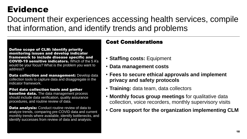# Evidence

Document their experiences accessing health services, compile that information, and identify trends and problems

Define scope of CLM: Identify priority monitoring issues and develop indicator framework to include disease specific and COVID-19 sensitive indicators. Which of the 5 A's would be your focus? What is the problem you want to address?

**Data collection and management: Develop data** collection tools to capture data and disaggregate in the indicator framework.

Pilot data collection tools and gather **baseline data.** The data management process should include data verification, quality assurance procedures, and routine review of data.

**Data analysis:** Conduct routine review of data to analyze trends, comparing pre-COVID data and current monthly trends where available, identify bottlenecks, and identify successes from review of data and analysis.

## Cost Considerations

- **Staffing costs:** Equipment
- **Data management costs**
- **Fees to secure ethical approvals and implement privacy and safety protocols**
- **Training:** data team, data collectors
- **Monthly focus group meetings** for qualitative data collection, voice recorders, monthly supervisory visits
- **Core support for the organization implementing CLM**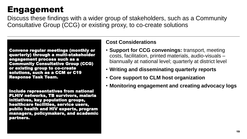# Engagement

Discuss these findings with a wider group of stakeholders, such as a Community Consultative Group (CCG) or existing proxy, to co-create solutions

Convene regular meetings (monthly or quarterly) through a multi-stakeholder engagement process such as a Community Consultative Group (CCG) or existing group to co-create solutions, such as a CCM or C19 Response Task Team.

Include representatives from national PLHIV networks, TB survivors, malaria initiatives, key population groups, healthcare facilities, service users, public health and HIV experts, program managers, policymakers, and academic partners.

## **Cost Considerations**

- **Support for CCG convenings:** transport, meeting costs, facilitation, printed materials, audio-visuals – biannually at national level; quarterly at district level
- **Writing and disseminating quarterly reports**
- **Core support to CLM host organization**
- **Monitoring engagement and creating advocacy logs**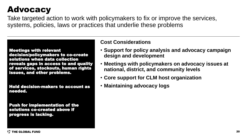# **Advocacy**

Take targeted action to work with policymakers to fix or improve the services, systems, policies, laws or practices that underlie these problems

Meetings with relevant decision/policymakers to co-create solutions when data collection reveals gaps in access to and quality of services, stockouts, human rights issues, and other problems.

Hold decision-makers to account as needed.

Push for implementation of the solutions co-created above if progress is lacking.

## **Cost Considerations**

- **Support for policy analysis and advocacy campaign design and development**
- **Meetings with policymakers on advocacy issues at national, district, and community levels**
- **Core support for CLM host organization**
- **Maintaining advocacy logs**

**STHE GLOBAL FUND**